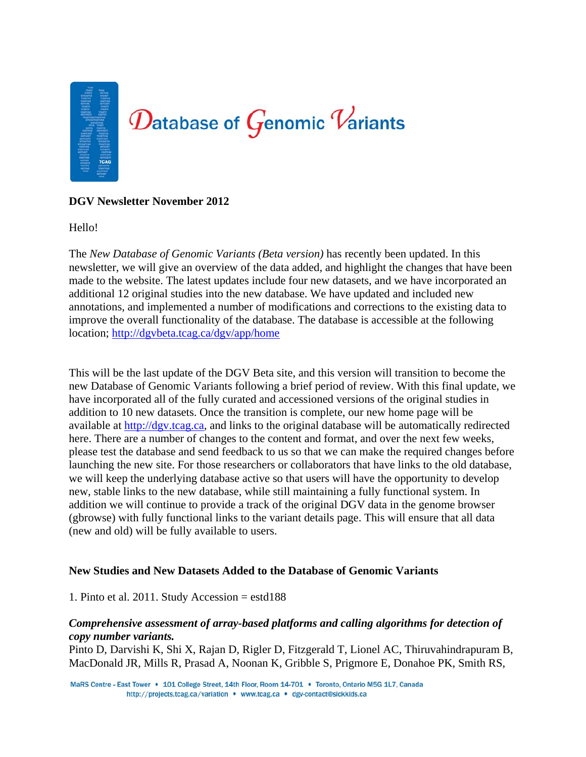

## **DGV Newsletter November 2012**

Hello!

The *New Database of Genomic Variants (Beta version)* has recently been updated. In this newsletter, we will give an overview of the data added, and highlight the changes that have been made to the website. The latest updates include four new datasets, and we have incorporated an additional 12 original studies into the new database. We have updated and included new annotations, and implemented a number of modifications and corrections to the existing data to improve the overall functionality of the database. The database is accessible at the following location; http://dgvbeta.tcag.ca/dgv/app/home

This will be the last update of the DGV Beta site, and this version will transition to become the new Database of Genomic Variants following a brief period of review. With this final update, we have incorporated all of the fully curated and accessioned versions of the original studies in addition to 10 new datasets. Once the transition is complete, our new home page will be available at http://dgv.tcag.ca, and links to the original database will be automatically redirected here. There are a number of changes to the content and format, and over the next few weeks, please test the database and send feedback to us so that we can make the required changes before launching the new site. For those researchers or collaborators that have links to the old database, we will keep the underlying database active so that users will have the opportunity to develop new, stable links to the new database, while still maintaining a fully functional system. In addition we will continue to provide a track of the original DGV data in the genome browser (gbrowse) with fully functional links to the variant details page. This will ensure that all data (new and old) will be fully available to users.

## **New Studies and New Datasets Added to the Database of Genomic Variants**

## 1. Pinto et al. 2011. Study Accession = estd188

## *Comprehensive assessment of array-based platforms and calling algorithms for detection of copy number variants.*

Pinto D, Darvishi K, Shi X, Rajan D, Rigler D, Fitzgerald T, Lionel AC, Thiruvahindrapuram B, MacDonald JR, Mills R, Prasad A, Noonan K, Gribble S, Prigmore E, Donahoe PK, Smith RS,

MaRS Centre - East Tower . 101 College Street, 14th Floor, Room 14-701 . Toronto, Ontario M5G 1L7, Canada http://projects.tcag.ca/variation • www.tcag.ca • dgv-contact@sickkids.ca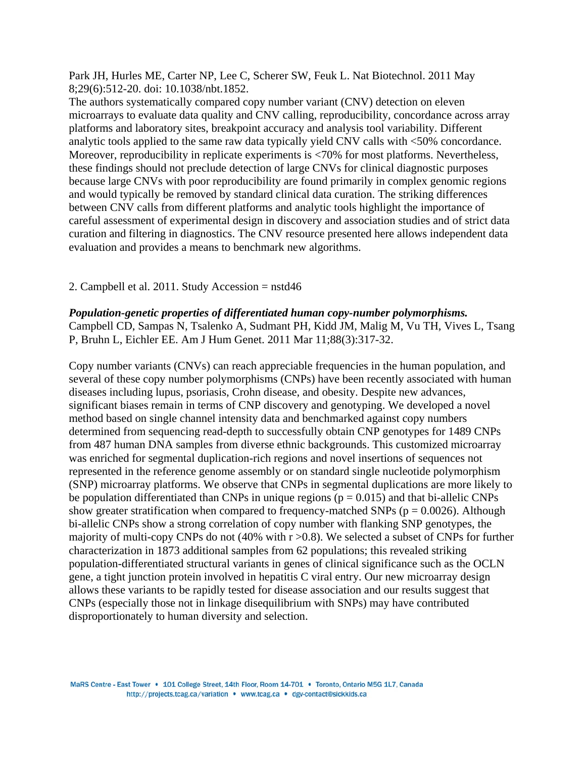Park JH, Hurles ME, Carter NP, Lee C, Scherer SW, Feuk L. Nat Biotechnol. 2011 May 8;29(6):512-20. doi: 10.1038/nbt.1852.

The authors systematically compared copy number variant (CNV) detection on eleven microarrays to evaluate data quality and CNV calling, reproducibility, concordance across array platforms and laboratory sites, breakpoint accuracy and analysis tool variability. Different analytic tools applied to the same raw data typically yield CNV calls with <50% concordance. Moreover, reproducibility in replicate experiments is <70% for most platforms. Nevertheless, these findings should not preclude detection of large CNVs for clinical diagnostic purposes because large CNVs with poor reproducibility are found primarily in complex genomic regions and would typically be removed by standard clinical data curation. The striking differences between CNV calls from different platforms and analytic tools highlight the importance of careful assessment of experimental design in discovery and association studies and of strict data curation and filtering in diagnostics. The CNV resource presented here allows independent data evaluation and provides a means to benchmark new algorithms.

#### 2. Campbell et al. 2011. Study Accession = nstd46

### *Population-genetic properties of differentiated human copy-number polymorphisms.*

Campbell CD, Sampas N, Tsalenko A, Sudmant PH, Kidd JM, Malig M, Vu TH, Vives L, Tsang P, Bruhn L, Eichler EE. Am J Hum Genet. 2011 Mar 11;88(3):317-32.

Copy number variants (CNVs) can reach appreciable frequencies in the human population, and several of these copy number polymorphisms (CNPs) have been recently associated with human diseases including lupus, psoriasis, Crohn disease, and obesity. Despite new advances, significant biases remain in terms of CNP discovery and genotyping. We developed a novel method based on single channel intensity data and benchmarked against copy numbers determined from sequencing read-depth to successfully obtain CNP genotypes for 1489 CNPs from 487 human DNA samples from diverse ethnic backgrounds. This customized microarray was enriched for segmental duplication-rich regions and novel insertions of sequences not represented in the reference genome assembly or on standard single nucleotide polymorphism (SNP) microarray platforms. We observe that CNPs in segmental duplications are more likely to be population differentiated than CNPs in unique regions ( $p = 0.015$ ) and that bi-allelic CNPs show greater stratification when compared to frequency-matched SNPs ( $p = 0.0026$ ). Although bi-allelic CNPs show a strong correlation of copy number with flanking SNP genotypes, the majority of multi-copy CNPs do not  $(40\%$  with  $r > 0.8)$ . We selected a subset of CNPs for further characterization in 1873 additional samples from 62 populations; this revealed striking population-differentiated structural variants in genes of clinical significance such as the OCLN gene, a tight junction protein involved in hepatitis C viral entry. Our new microarray design allows these variants to be rapidly tested for disease association and our results suggest that CNPs (especially those not in linkage disequilibrium with SNPs) may have contributed disproportionately to human diversity and selection.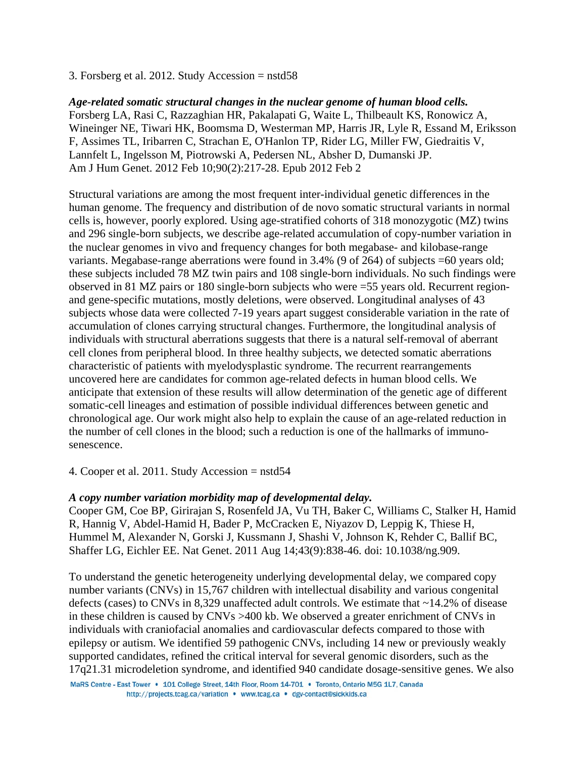3. Forsberg et al. 2012. Study Accession = nstd58

*Age-related somatic structural changes in the nuclear genome of human blood cells.*  Forsberg LA, Rasi C, Razzaghian HR, Pakalapati G, Waite L, Thilbeault KS, Ronowicz A, Wineinger NE, Tiwari HK, Boomsma D, Westerman MP, Harris JR, Lyle R, Essand M, Eriksson F, Assimes TL, Iribarren C, Strachan E, O'Hanlon TP, Rider LG, Miller FW, Giedraitis V, Lannfelt L, Ingelsson M, Piotrowski A, Pedersen NL, Absher D, Dumanski JP. Am J Hum Genet. 2012 Feb 10;90(2):217-28. Epub 2012 Feb 2

Structural variations are among the most frequent inter-individual genetic differences in the human genome. The frequency and distribution of de novo somatic structural variants in normal cells is, however, poorly explored. Using age-stratified cohorts of 318 monozygotic (MZ) twins and 296 single-born subjects, we describe age-related accumulation of copy-number variation in the nuclear genomes in vivo and frequency changes for both megabase- and kilobase-range variants. Megabase-range aberrations were found in 3.4% (9 of 264) of subjects =60 years old; these subjects included 78 MZ twin pairs and 108 single-born individuals. No such findings were observed in 81 MZ pairs or 180 single-born subjects who were =55 years old. Recurrent regionand gene-specific mutations, mostly deletions, were observed. Longitudinal analyses of 43 subjects whose data were collected 7-19 years apart suggest considerable variation in the rate of accumulation of clones carrying structural changes. Furthermore, the longitudinal analysis of individuals with structural aberrations suggests that there is a natural self-removal of aberrant cell clones from peripheral blood. In three healthy subjects, we detected somatic aberrations characteristic of patients with myelodysplastic syndrome. The recurrent rearrangements uncovered here are candidates for common age-related defects in human blood cells. We anticipate that extension of these results will allow determination of the genetic age of different somatic-cell lineages and estimation of possible individual differences between genetic and chronological age. Our work might also help to explain the cause of an age-related reduction in the number of cell clones in the blood; such a reduction is one of the hallmarks of immunosenescence.

4. Cooper et al. 2011. Study Accession = nstd54

## *A copy number variation morbidity map of developmental delay.*

Cooper GM, Coe BP, Girirajan S, Rosenfeld JA, Vu TH, Baker C, Williams C, Stalker H, Hamid R, Hannig V, Abdel-Hamid H, Bader P, McCracken E, Niyazov D, Leppig K, Thiese H, Hummel M, Alexander N, Gorski J, Kussmann J, Shashi V, Johnson K, Rehder C, Ballif BC, Shaffer LG, Eichler EE. Nat Genet. 2011 Aug 14;43(9):838-46. doi: 10.1038/ng.909.

To understand the genetic heterogeneity underlying developmental delay, we compared copy number variants (CNVs) in 15,767 children with intellectual disability and various congenital defects (cases) to CNVs in 8,329 unaffected adult controls. We estimate that ~14.2% of disease in these children is caused by CNVs >400 kb. We observed a greater enrichment of CNVs in individuals with craniofacial anomalies and cardiovascular defects compared to those with epilepsy or autism. We identified 59 pathogenic CNVs, including 14 new or previously weakly supported candidates, refined the critical interval for several genomic disorders, such as the 17q21.31 microdeletion syndrome, and identified 940 candidate dosage-sensitive genes. We also